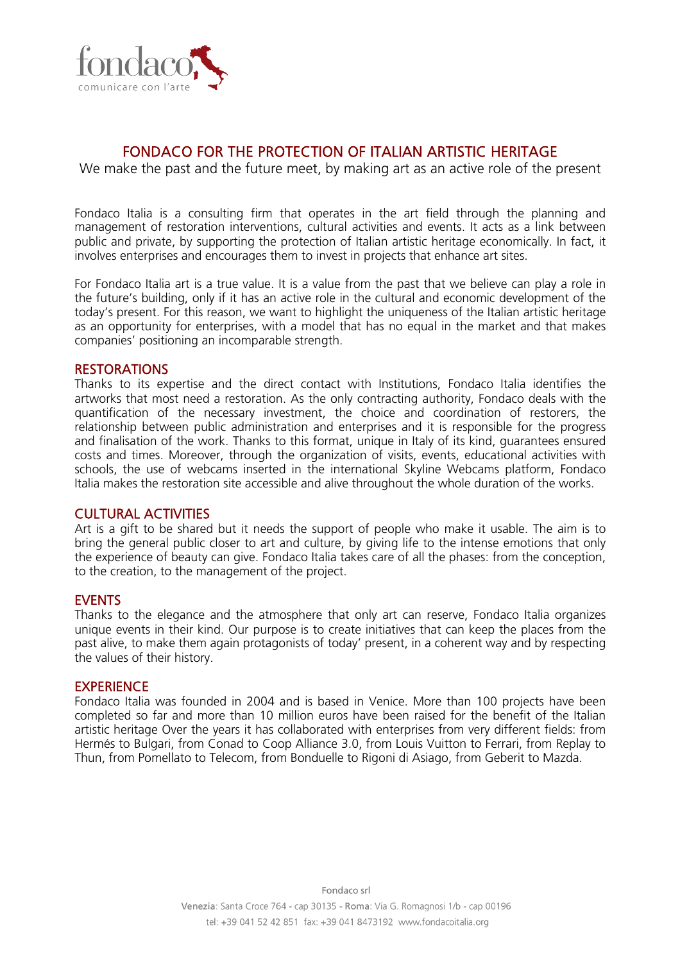

# FONDACO FOR THE PROTECTION OF ITALIAN ARTISTIC HERITAGE

We make the past and the future meet, by making art as an active role of the present

Fondaco Italia is a consulting firm that operates in the art field through the planning and management of restoration interventions, cultural activities and events. It acts as a link between public and private, by supporting the protection of Italian artistic heritage economically. In fact, it involves enterprises and encourages them to invest in projects that enhance art sites.

For Fondaco Italia art is a true value. It is a value from the past that we believe can play a role in the future's building, only if it has an active role in the cultural and economic development of the today's present. For this reason, we want to highlight the uniqueness of the Italian artistic heritage as an opportunity for enterprises, with a model that has no equal in the market and that makes companies' positioning an incomparable strength.

### **RESTORATIONS**

Thanks to its expertise and the direct contact with Institutions, Fondaco Italia identifies the artworks that most need a restoration. As the only contracting authority, Fondaco deals with the quantification of the necessary investment, the choice and coordination of restorers, the relationship between public administration and enterprises and it is responsible for the progress and finalisation of the work. Thanks to this format, unique in Italy of its kind, guarantees ensured costs and times. Moreover, through the organization of visits, events, educational activities with schools, the use of webcams inserted in the international Skyline Webcams platform, Fondaco Italia makes the restoration site accessible and alive throughout the whole duration of the works.

### CULTURAL ACTIVITIES

Art is a gift to be shared but it needs the support of people who make it usable. The aim is to bring the general public closer to art and culture, by giving life to the intense emotions that only the experience of beauty can give. Fondaco Italia takes care of all the phases: from the conception, to the creation, to the management of the project.

### **EVENTS**

Thanks to the elegance and the atmosphere that only art can reserve, Fondaco Italia organizes unique events in their kind. Our purpose is to create initiatives that can keep the places from the past alive, to make them again protagonists of today' present, in a coherent way and by respecting the values of their history.

#### **EXPERIENCE**

Fondaco Italia was founded in 2004 and is based in Venice. More than 100 projects have been completed so far and more than 10 million euros have been raised for the benefit of the Italian artistic heritage Over the years it has collaborated with enterprises from very different fields: from Hermés to Bulgari, from Conad to Coop Alliance 3.0, from Louis Vuitton to Ferrari, from Replay to Thun, from Pomellato to Telecom, from Bonduelle to Rigoni di Asiago, from Geberit to Mazda.